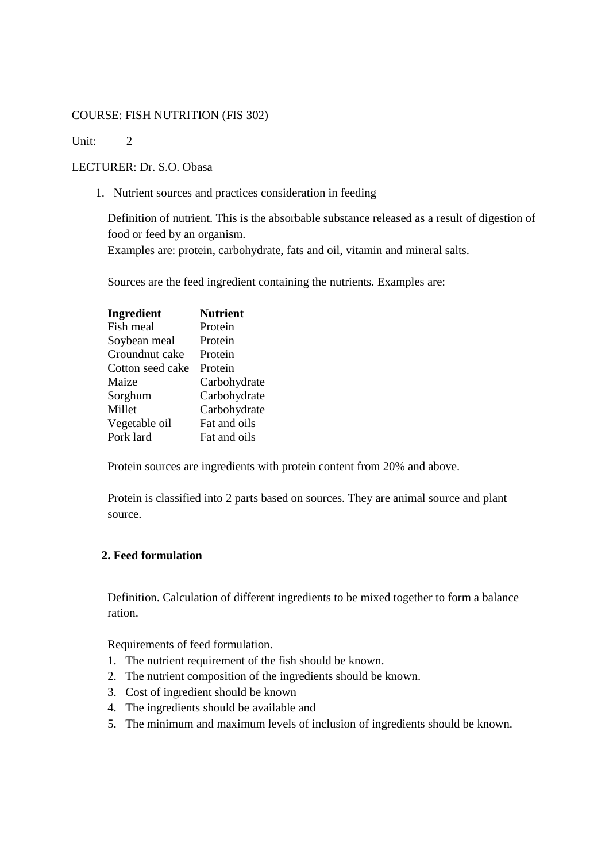## COURSE: FISH NUTRITION (FIS 302)

Unit: 2

## LECTURER: Dr. S.O. Obasa

1. Nutrient sources and practices consideration in feeding

Definition of nutrient. This is the absorbable substance released as a result of digestion of food or feed by an organism. Examples are: protein, carbohydrate, fats and oil, vitamin and mineral salts.

Sources are the feed ingredient containing the nutrients. Examples are:

| Ingredient       | <b>Nutrient</b> |
|------------------|-----------------|
| Fish meal        | Protein         |
| Soybean meal     | Protein         |
| Groundnut cake   | Protein         |
| Cotton seed cake | Protein         |
| Maize            | Carbohydrate    |
| Sorghum          | Carbohydrate    |
| Millet           | Carbohydrate    |
| Vegetable oil    | Fat and oils    |
| Pork lard        | Fat and oils    |

Protein sources are ingredients with protein content from 20% and above.

Protein is classified into 2 parts based on sources. They are animal source and plant source.

## **2. Feed formulation**

Definition. Calculation of different ingredients to be mixed together to form a balance ration.

Requirements of feed formulation.

- 1. The nutrient requirement of the fish should be known.
- 2. The nutrient composition of the ingredients should be known.
- 3. Cost of ingredient should be known
- 4. The ingredients should be available and
- 5. The minimum and maximum levels of inclusion of ingredients should be known.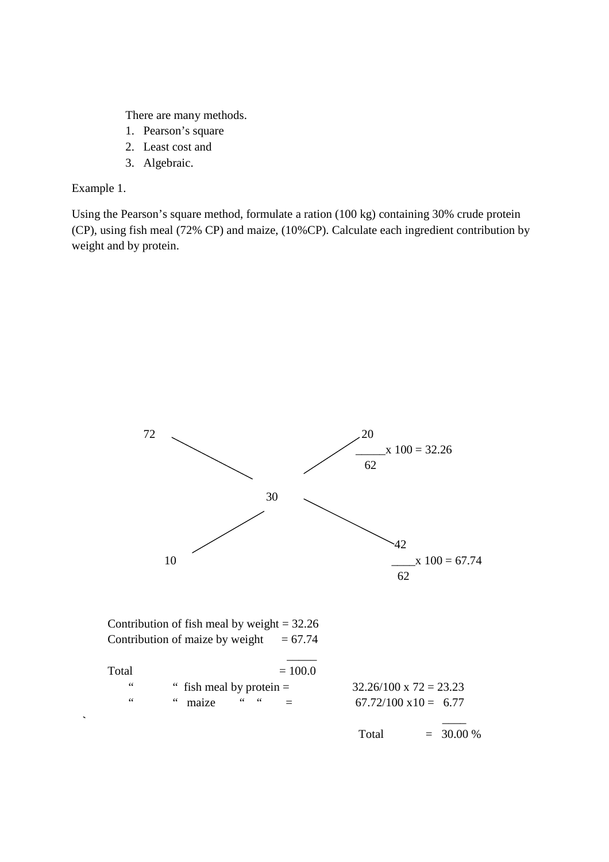There are many methods.

- 1. Pearson's square
- 2. Least cost and
- 3. Algebraic.

Example 1.

Using the Pearson's square method, formulate a ration (100 kg) containing 30% crude protein (CP), using fish meal (72% CP) and maize, (10%CP). Calculate each ingredient contribution by weight and by protein.

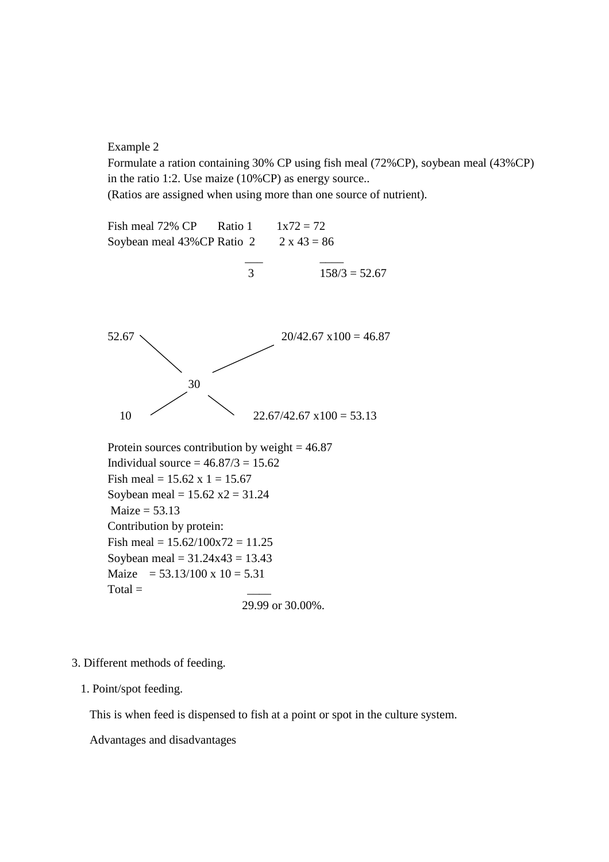Example 2

Formulate a ration containing 30% CP using fish meal (72%CP), soybean meal (43%CP) in the ratio 1:2. Use maize (10%CP) as energy source..

(Ratios are assigned when using more than one source of nutrient).



- 3. Different methods of feeding.
	- 1. Point/spot feeding.

This is when feed is dispensed to fish at a point or spot in the culture system.

Advantages and disadvantages